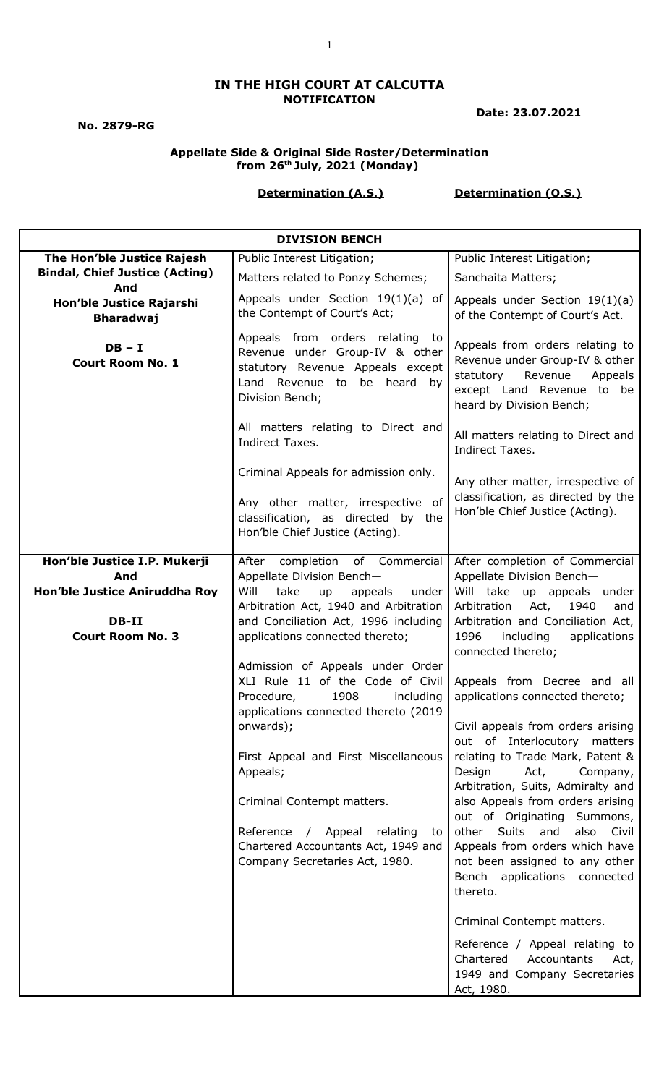### **IN THE HIGH COURT AT CALCUTTA NOTIFICATION**

**No. 2879-RG**

**Date: 23.07.2021**

### **Appellate Side & Original Side Roster/Determination from 26th July, 2021 (Monday)**

## **Determination (A.S.) Determination (O.S.)**

| <b>DIVISION BENCH</b>                        |                                                                                                                                                                                                                                                                                     |                                                                                                                                                                                                                                                                                                                                                      |
|----------------------------------------------|-------------------------------------------------------------------------------------------------------------------------------------------------------------------------------------------------------------------------------------------------------------------------------------|------------------------------------------------------------------------------------------------------------------------------------------------------------------------------------------------------------------------------------------------------------------------------------------------------------------------------------------------------|
| The Hon'ble Justice Rajesh                   | Public Interest Litigation;                                                                                                                                                                                                                                                         | Public Interest Litigation;                                                                                                                                                                                                                                                                                                                          |
| <b>Bindal, Chief Justice (Acting)</b><br>And | Matters related to Ponzy Schemes;                                                                                                                                                                                                                                                   | Sanchaita Matters;                                                                                                                                                                                                                                                                                                                                   |
| Hon'ble Justice Rajarshi<br><b>Bharadwaj</b> | Appeals under Section 19(1)(a) of<br>the Contempt of Court's Act;                                                                                                                                                                                                                   | Appeals under Section $19(1)(a)$<br>of the Contempt of Court's Act.                                                                                                                                                                                                                                                                                  |
| $DB - I$<br><b>Court Room No. 1</b>          | Appeals from orders relating to<br>Revenue under Group-IV & other<br>statutory Revenue Appeals except<br>Land Revenue to be heard by<br>Division Bench;                                                                                                                             | Appeals from orders relating to<br>Revenue under Group-IV & other<br>statutory<br>Revenue<br>Appeals<br>except Land Revenue to be<br>heard by Division Bench;                                                                                                                                                                                        |
|                                              | All matters relating to Direct and<br>Indirect Taxes.                                                                                                                                                                                                                               | All matters relating to Direct and<br>Indirect Taxes.                                                                                                                                                                                                                                                                                                |
|                                              | Criminal Appeals for admission only.<br>Any other matter, irrespective of<br>classification, as directed by the<br>Hon'ble Chief Justice (Acting).                                                                                                                                  | Any other matter, irrespective of<br>classification, as directed by the<br>Hon'ble Chief Justice (Acting).                                                                                                                                                                                                                                           |
| Hon'ble Justice I.P. Mukerji                 | completion of Commercial<br>After                                                                                                                                                                                                                                                   | After completion of Commercial                                                                                                                                                                                                                                                                                                                       |
| And                                          | Appellate Division Bench-                                                                                                                                                                                                                                                           | Appellate Division Bench-                                                                                                                                                                                                                                                                                                                            |
| Hon'ble Justice Aniruddha Roy                | Will<br>take<br>up<br>appeals<br>under                                                                                                                                                                                                                                              | Will take up appeals under                                                                                                                                                                                                                                                                                                                           |
| DB-II                                        | Arbitration Act, 1940 and Arbitration<br>and Conciliation Act, 1996 including                                                                                                                                                                                                       | 1940<br>Arbitration<br>Act,<br>and<br>Arbitration and Conciliation Act,                                                                                                                                                                                                                                                                              |
| <b>Court Room No. 3</b>                      | applications connected thereto;                                                                                                                                                                                                                                                     | 1996<br>including<br>applications<br>connected thereto;                                                                                                                                                                                                                                                                                              |
|                                              | Admission of Appeals under Order<br>XLI Rule 11 of the Code of Civil<br>1908<br>Procedure,<br>including<br>applications connected thereto (2019<br>onwards);<br>First Appeal and First Miscellaneous<br>Appeals;<br>Criminal Contempt matters.<br>Reference / Appeal relating<br>to | Appeals from Decree and all<br>applications connected thereto;<br>Civil appeals from orders arising<br>out of Interlocutory matters<br>relating to Trade Mark, Patent &<br>Act,<br>Design<br>Company,<br>Arbitration, Suits, Admiralty and<br>also Appeals from orders arising<br>out of Originating Summons,<br>other Suits<br>and<br>also<br>Civil |
|                                              | Chartered Accountants Act, 1949 and<br>Company Secretaries Act, 1980.                                                                                                                                                                                                               | Appeals from orders which have<br>not been assigned to any other<br>Bench applications connected<br>thereto.                                                                                                                                                                                                                                         |
|                                              |                                                                                                                                                                                                                                                                                     | Criminal Contempt matters.<br>Reference / Appeal relating to<br>Chartered<br>Accountants<br>Act,<br>1949 and Company Secretaries<br>Act, 1980.                                                                                                                                                                                                       |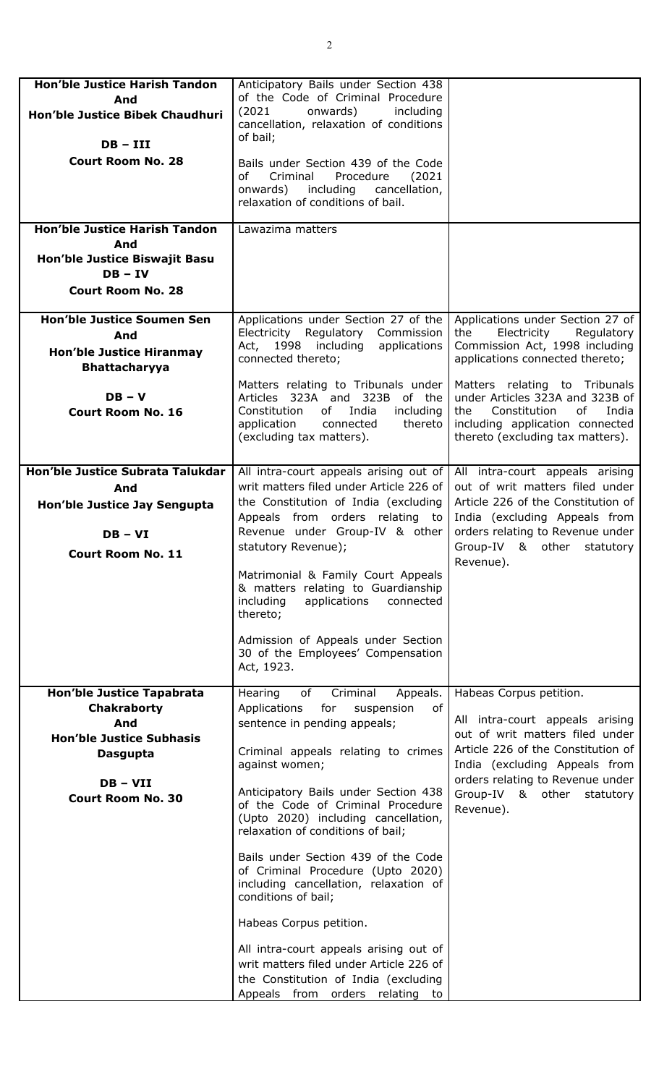| <b>Hon'ble Justice Harish Tandon</b><br>And<br>Hon'ble Justice Bibek Chaudhuri<br>$DB - III$                                                           | Anticipatory Bails under Section 438<br>of the Code of Criminal Procedure<br>onwards)<br>including<br>(2021)<br>cancellation, relaxation of conditions<br>of bail;                                                                                                                                                                                                                                                                                                                                                                                                                                                                                                           |                                                                                                                                                                                                                                                        |
|--------------------------------------------------------------------------------------------------------------------------------------------------------|------------------------------------------------------------------------------------------------------------------------------------------------------------------------------------------------------------------------------------------------------------------------------------------------------------------------------------------------------------------------------------------------------------------------------------------------------------------------------------------------------------------------------------------------------------------------------------------------------------------------------------------------------------------------------|--------------------------------------------------------------------------------------------------------------------------------------------------------------------------------------------------------------------------------------------------------|
| <b>Court Room No. 28</b>                                                                                                                               | Bails under Section 439 of the Code<br>of<br>Criminal<br>Procedure<br>(2021)<br>including<br>cancellation,<br>onwards)<br>relaxation of conditions of bail.                                                                                                                                                                                                                                                                                                                                                                                                                                                                                                                  |                                                                                                                                                                                                                                                        |
| Hon'ble Justice Harish Tandon                                                                                                                          | Lawazima matters                                                                                                                                                                                                                                                                                                                                                                                                                                                                                                                                                                                                                                                             |                                                                                                                                                                                                                                                        |
| And<br>Hon'ble Justice Biswajit Basu<br>$DB - IV$<br><b>Court Room No. 28</b>                                                                          |                                                                                                                                                                                                                                                                                                                                                                                                                                                                                                                                                                                                                                                                              |                                                                                                                                                                                                                                                        |
| <b>Hon'ble Justice Soumen Sen</b><br>And<br><b>Hon'ble Justice Hiranmay</b><br><b>Bhattacharyya</b>                                                    | Applications under Section 27 of the<br>Electricity Regulatory Commission<br>Act, 1998 including<br>applications<br>connected thereto;                                                                                                                                                                                                                                                                                                                                                                                                                                                                                                                                       | Applications under Section 27 of<br>the<br>Electricity<br>Regulatory<br>Commission Act, 1998 including<br>applications connected thereto;                                                                                                              |
| $DB - V$<br><b>Court Room No. 16</b>                                                                                                                   | Matters relating to Tribunals under<br>Articles 323A and 323B of the<br>India<br>Constitution<br>of<br>including<br>application<br>connected<br>thereto<br>(excluding tax matters).                                                                                                                                                                                                                                                                                                                                                                                                                                                                                          | Matters relating to Tribunals<br>under Articles 323A and 323B of<br>Constitution<br>of<br>India<br>the<br>including application connected<br>thereto (excluding tax matters).                                                                          |
| Hon'ble Justice Subrata Talukdar<br>And<br>Hon'ble Justice Jay Sengupta<br>$DB - VI$<br><b>Court Room No. 11</b>                                       | All intra-court appeals arising out of<br>writ matters filed under Article 226 of<br>the Constitution of India (excluding<br>Appeals from orders relating to<br>Revenue under Group-IV & other<br>statutory Revenue);<br>Matrimonial & Family Court Appeals<br>& matters relating to Guardianship<br>applications<br>connected<br>including<br>thereto;<br>Admission of Appeals under Section<br>30 of the Employees' Compensation<br>Act, 1923.                                                                                                                                                                                                                             | All intra-court appeals arising<br>out of writ matters filed under<br>Article 226 of the Constitution of<br>India (excluding Appeals from<br>orders relating to Revenue under<br>Group-IV & other<br>statutory<br>Revenue).                            |
| <b>Hon'ble Justice Tapabrata</b><br><b>Chakraborty</b><br>And<br><b>Hon'ble Justice Subhasis</b><br>Dasgupta<br>$DB - VII$<br><b>Court Room No. 30</b> | Criminal<br>Hearing<br>of<br>Appeals.<br>of<br>Applications<br>for<br>suspension<br>sentence in pending appeals;<br>Criminal appeals relating to crimes<br>against women;<br>Anticipatory Bails under Section 438<br>of the Code of Criminal Procedure<br>(Upto 2020) including cancellation,<br>relaxation of conditions of bail;<br>Bails under Section 439 of the Code<br>of Criminal Procedure (Upto 2020)<br>including cancellation, relaxation of<br>conditions of bail;<br>Habeas Corpus petition.<br>All intra-court appeals arising out of<br>writ matters filed under Article 226 of<br>the Constitution of India (excluding<br>Appeals from orders relating<br>to | Habeas Corpus petition.<br>All intra-court appeals arising<br>out of writ matters filed under<br>Article 226 of the Constitution of<br>India (excluding Appeals from<br>orders relating to Revenue under<br>Group-IV & other<br>statutory<br>Revenue). |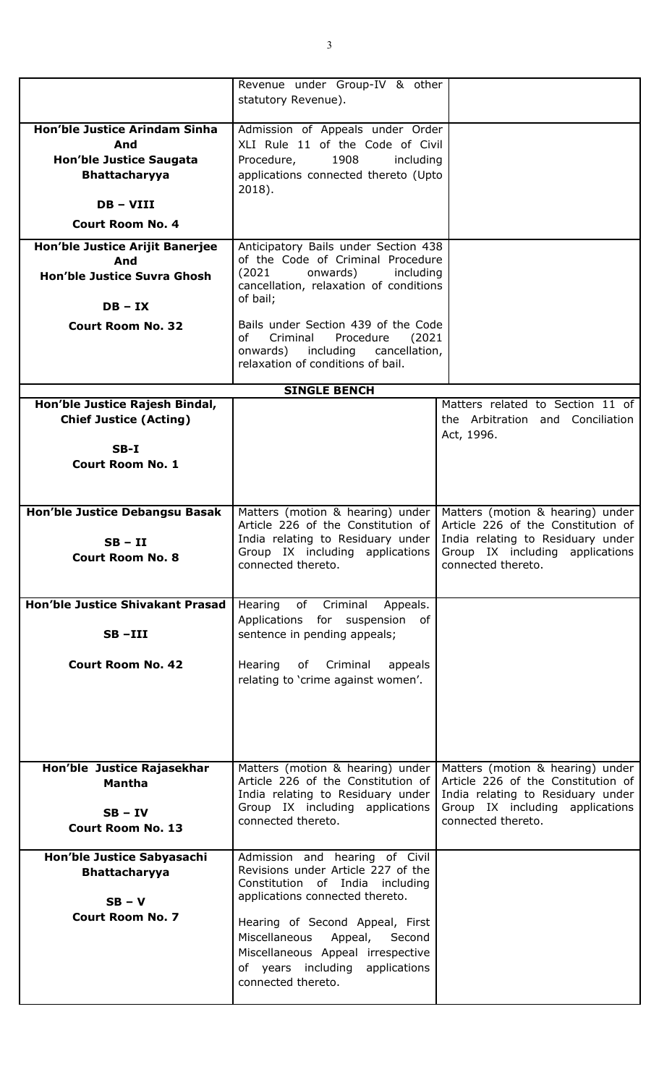|                                                                                                                      | Revenue under Group-IV & other<br>statutory Revenue).                                                                                                                |                                                                                                                                                                      |
|----------------------------------------------------------------------------------------------------------------------|----------------------------------------------------------------------------------------------------------------------------------------------------------------------|----------------------------------------------------------------------------------------------------------------------------------------------------------------------|
| <b>Hon'ble Justice Arindam Sinha</b><br>And<br><b>Hon'ble Justice Saugata</b><br><b>Bhattacharyya</b><br>$DB - VIII$ | Admission of Appeals under Order<br>XLI Rule 11 of the Code of Civil<br>1908<br>Procedure,<br>including<br>applications connected thereto (Upto<br>$2018$ ).         |                                                                                                                                                                      |
| <b>Court Room No. 4</b>                                                                                              |                                                                                                                                                                      |                                                                                                                                                                      |
| Hon'ble Justice Arijit Banerjee<br>And                                                                               | Anticipatory Bails under Section 438<br>of the Code of Criminal Procedure                                                                                            |                                                                                                                                                                      |
| Hon'ble Justice Suvra Ghosh                                                                                          | (2021)<br>onwards)<br>including<br>cancellation, relaxation of conditions<br>of bail;                                                                                |                                                                                                                                                                      |
| $DB - IX$                                                                                                            |                                                                                                                                                                      |                                                                                                                                                                      |
| <b>Court Room No. 32</b>                                                                                             | Bails under Section 439 of the Code<br>Criminal<br>Procedure<br>of<br>(2021)<br>onwards)<br>including<br>cancellation,<br>relaxation of conditions of bail.          |                                                                                                                                                                      |
|                                                                                                                      | <b>SINGLE BENCH</b>                                                                                                                                                  |                                                                                                                                                                      |
| Hon'ble Justice Rajesh Bindal,<br><b>Chief Justice (Acting)</b>                                                      |                                                                                                                                                                      | Matters related to Section 11 of<br>the Arbitration and Conciliation<br>Act, 1996.                                                                                   |
| $SB-I$<br><b>Court Room No. 1</b>                                                                                    |                                                                                                                                                                      |                                                                                                                                                                      |
| Hon'ble Justice Debangsu Basak<br>$SB - II$<br><b>Court Room No. 8</b>                                               | Matters (motion & hearing) under<br>Article 226 of the Constitution of<br>India relating to Residuary under<br>Group IX including applications<br>connected thereto. | Matters (motion & hearing) under<br>Article 226 of the Constitution of<br>India relating to Residuary under<br>Group IX including applications<br>connected thereto. |
| <b>Hon'ble Justice Shivakant Prasad</b><br>$SB$ -III                                                                 | Hearing of Criminal Appeals.<br>Applications for suspension of<br>sentence in pending appeals;                                                                       |                                                                                                                                                                      |
| <b>Court Room No. 42</b>                                                                                             | Hearing of Criminal<br>appeals<br>relating to 'crime against women'.                                                                                                 |                                                                                                                                                                      |
| Hon'ble Justice Rajasekhar                                                                                           | Matters (motion & hearing) under                                                                                                                                     | Matters (motion & hearing) under                                                                                                                                     |
| <b>Mantha</b><br>$SB - IV$                                                                                           | Article 226 of the Constitution of<br>India relating to Residuary under<br>Group IX including applications<br>connected thereto.                                     | Article 226 of the Constitution of<br>India relating to Residuary under<br>Group IX including applications<br>connected thereto.                                     |
| <b>Court Room No. 13</b>                                                                                             |                                                                                                                                                                      |                                                                                                                                                                      |
| Hon'ble Justice Sabyasachi<br><b>Bhattacharyya</b><br>$SB - V$                                                       | Admission and hearing of Civil<br>Revisions under Article 227 of the<br>Constitution of India including<br>applications connected thereto.                           |                                                                                                                                                                      |
| <b>Court Room No. 7</b>                                                                                              | Hearing of Second Appeal, First<br>Miscellaneous Appeal, Second<br>Miscellaneous Appeal irrespective<br>of years including applications<br>connected thereto.        |                                                                                                                                                                      |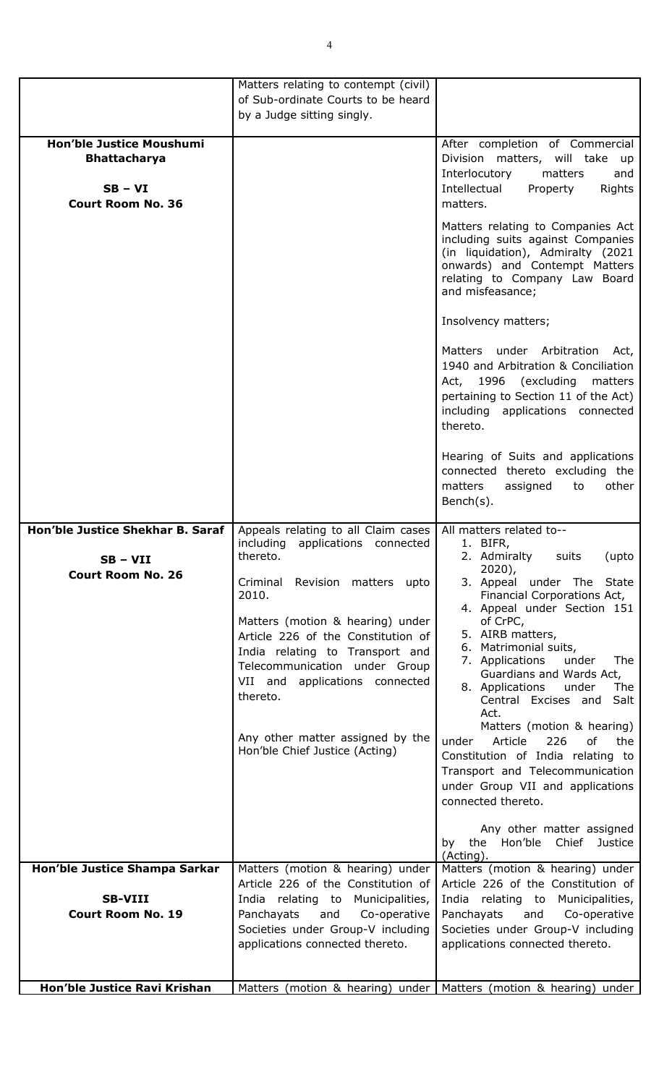|                                                                                                 | Matters relating to contempt (civil)                                                                                                                                                                                                                                                                                                                                                                      |                                                                                                                                                                                                                                                                                                                                                                                                                                                                                                                                                                                                                                                                          |
|-------------------------------------------------------------------------------------------------|-----------------------------------------------------------------------------------------------------------------------------------------------------------------------------------------------------------------------------------------------------------------------------------------------------------------------------------------------------------------------------------------------------------|--------------------------------------------------------------------------------------------------------------------------------------------------------------------------------------------------------------------------------------------------------------------------------------------------------------------------------------------------------------------------------------------------------------------------------------------------------------------------------------------------------------------------------------------------------------------------------------------------------------------------------------------------------------------------|
|                                                                                                 | of Sub-ordinate Courts to be heard                                                                                                                                                                                                                                                                                                                                                                        |                                                                                                                                                                                                                                                                                                                                                                                                                                                                                                                                                                                                                                                                          |
|                                                                                                 | by a Judge sitting singly.                                                                                                                                                                                                                                                                                                                                                                                |                                                                                                                                                                                                                                                                                                                                                                                                                                                                                                                                                                                                                                                                          |
| <b>Hon'ble Justice Moushumi</b><br><b>Bhattacharya</b><br>$SB - VI$<br><b>Court Room No. 36</b> |                                                                                                                                                                                                                                                                                                                                                                                                           | After completion of Commercial<br>Division matters, will take up<br>Interlocutory<br>matters<br>and<br>Intellectual<br>Rights<br>Property<br>matters.<br>Matters relating to Companies Act<br>including suits against Companies<br>(in liquidation), Admiralty (2021<br>onwards) and Contempt Matters<br>relating to Company Law Board<br>and misfeasance;<br>Insolvency matters;<br>Matters under Arbitration<br>Act,<br>1940 and Arbitration & Conciliation<br>Act, 1996 (excluding matters<br>pertaining to Section 11 of the Act)<br>including applications connected<br>thereto.                                                                                    |
|                                                                                                 |                                                                                                                                                                                                                                                                                                                                                                                                           | Hearing of Suits and applications<br>connected thereto excluding the<br>assigned<br>to<br>other<br>matters<br>$Bench(s)$ .                                                                                                                                                                                                                                                                                                                                                                                                                                                                                                                                               |
| Hon'ble Justice Shekhar B. Saraf<br>SB – VII<br><b>Court Room No. 26</b>                        | Appeals relating to all Claim cases<br>including<br>applications connected<br>thereto.<br>Criminal<br>Revision matters<br>upto<br>2010.<br>Matters (motion & hearing) under<br>Article 226 of the Constitution of<br>India relating to Transport and<br>Telecommunication under Group<br>VII and applications connected<br>thereto.<br>Any other matter assigned by the<br>Hon'ble Chief Justice (Acting) | All matters related to--<br>1. BIFR,<br>2. Admiralty<br>suits<br>(upto<br>$2020$ ),<br>3. Appeal under The State<br>Financial Corporations Act,<br>4. Appeal under Section 151<br>of CrPC,<br>5. AIRB matters,<br>6. Matrimonial suits,<br>7. Applications<br>The<br>under<br>Guardians and Wards Act,<br>8. Applications<br>under<br>The<br>Central Excises and<br>Salt<br>Act.<br>Matters (motion & hearing)<br>under<br>Article<br>226<br>of<br>the<br>Constitution of India relating to<br>Transport and Telecommunication<br>under Group VII and applications<br>connected thereto.<br>Any other matter assigned<br>the Hon'ble Chief<br>Justice<br>by<br>(Acting). |
| Hon'ble Justice Shampa Sarkar<br><b>SB-VIII</b><br><b>Court Room No. 19</b>                     | Matters (motion & hearing) under<br>Article 226 of the Constitution of<br>India relating to Municipalities,<br>Panchayats<br>and<br>Co-operative<br>Societies under Group-V including<br>applications connected thereto.                                                                                                                                                                                  | Matters (motion & hearing) under<br>Article 226 of the Constitution of<br>India relating to Municipalities,<br>Panchayats<br>Co-operative<br>and<br>Societies under Group-V including<br>applications connected thereto.                                                                                                                                                                                                                                                                                                                                                                                                                                                 |
| Hon'ble Justice Ravi Krishan                                                                    |                                                                                                                                                                                                                                                                                                                                                                                                           | Matters (motion & hearing) under   Matters (motion & hearing) under                                                                                                                                                                                                                                                                                                                                                                                                                                                                                                                                                                                                      |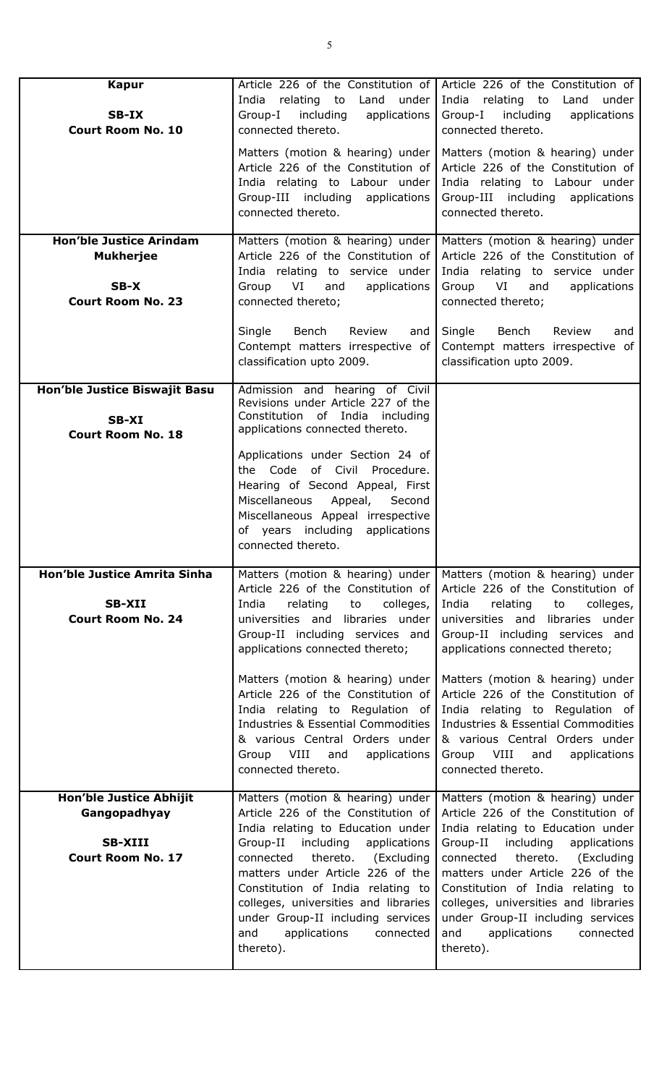| <b>Kapur</b>                                                                             | Article 226 of the Constitution of                                                                                                                                                                                                                                                                                                                                                              | Article 226 of the Constitution of                                                                                                                                                                                                                                                                                                                                                                 |
|------------------------------------------------------------------------------------------|-------------------------------------------------------------------------------------------------------------------------------------------------------------------------------------------------------------------------------------------------------------------------------------------------------------------------------------------------------------------------------------------------|----------------------------------------------------------------------------------------------------------------------------------------------------------------------------------------------------------------------------------------------------------------------------------------------------------------------------------------------------------------------------------------------------|
| SB-IX<br><b>Court Room No. 10</b>                                                        | relating to Land<br>India<br>under<br>Group-I including<br>applications<br>connected thereto.                                                                                                                                                                                                                                                                                                   | India<br>relating to<br>Land<br>under<br>Group-I including<br>applications<br>connected thereto.                                                                                                                                                                                                                                                                                                   |
|                                                                                          | Matters (motion & hearing) under<br>Article 226 of the Constitution of<br>India relating to Labour under<br>Group-III including applications<br>connected thereto.                                                                                                                                                                                                                              | Matters (motion & hearing) under<br>Article 226 of the Constitution of<br>India relating to Labour under<br>Group-III including applications<br>connected thereto.                                                                                                                                                                                                                                 |
| <b>Hon'ble Justice Arindam</b><br><b>Mukherjee</b><br>$SB-X$<br><b>Court Room No. 23</b> | Matters (motion & hearing) under<br>Article 226 of the Constitution of<br>India relating to service under<br>VI<br>Group<br>and<br>applications<br>connected thereto;                                                                                                                                                                                                                           | Matters (motion & hearing) under<br>Article 226 of the Constitution of<br>India relating to service under<br>VI<br>Group<br>and<br>applications<br>connected thereto;                                                                                                                                                                                                                              |
|                                                                                          | Bench<br>Review<br>Single<br>and<br>Contempt matters irrespective of<br>classification upto 2009.                                                                                                                                                                                                                                                                                               | Single<br>Bench<br>Review<br>and<br>Contempt matters irrespective of<br>classification upto 2009.                                                                                                                                                                                                                                                                                                  |
| Hon'ble Justice Biswajit Basu<br>SB-XI<br><b>Court Room No. 18</b>                       | Admission and hearing of Civil<br>Revisions under Article 227 of the<br>Constitution of India including<br>applications connected thereto.                                                                                                                                                                                                                                                      |                                                                                                                                                                                                                                                                                                                                                                                                    |
|                                                                                          | Applications under Section 24 of<br>the Code of Civil Procedure.<br>Hearing of Second Appeal, First<br>Miscellaneous<br>Appeal, Second<br>Miscellaneous Appeal irrespective<br>of years including<br>applications<br>connected thereto.                                                                                                                                                         |                                                                                                                                                                                                                                                                                                                                                                                                    |
| Hon'ble Justice Amrita Sinha<br><b>SB-XII</b><br><b>Court Room No. 24</b>                | Matters (motion & hearing) under<br>Article 226 of the Constitution of<br>colleges,<br>India<br>relating<br>to<br>universities and libraries under<br>Group-II including services and<br>applications connected thereto;                                                                                                                                                                        | Matters (motion & hearing) under<br>Article 226 of the Constitution of<br>colleges,<br>India<br>relating<br>to<br>universities and libraries under<br>Group-II including services and<br>applications connected thereto;                                                                                                                                                                           |
|                                                                                          | Matters (motion & hearing) under<br>Article 226 of the Constitution of<br>India relating to Regulation of<br>Industries & Essential Commodities<br>& various Central Orders under<br>VIII<br>Group<br>and<br>applications<br>connected thereto.                                                                                                                                                 | Matters (motion & hearing) under<br>Article 226 of the Constitution of<br>India relating to Regulation of<br>Industries & Essential Commodities<br>& various Central Orders under<br>Group VIII<br>and<br>applications<br>connected thereto.                                                                                                                                                       |
| Hon'ble Justice Abhijit<br>Gangopadhyay<br><b>SB-XIII</b><br><b>Court Room No. 17</b>    | Matters (motion & hearing) under<br>Article 226 of the Constitution of<br>India relating to Education under<br>including<br>applications<br>Group-II<br>thereto. (Excluding<br>connected<br>matters under Article 226 of the<br>Constitution of India relating to<br>colleges, universities and libraries<br>under Group-II including services<br>applications<br>and<br>connected<br>thereto). | Matters (motion & hearing) under<br>Article 226 of the Constitution of<br>India relating to Education under<br>Group-II<br>including<br>applications<br>thereto.<br>connected<br>(Excluding<br>matters under Article 226 of the<br>Constitution of India relating to<br>colleges, universities and libraries<br>under Group-II including services<br>applications<br>and<br>connected<br>thereto). |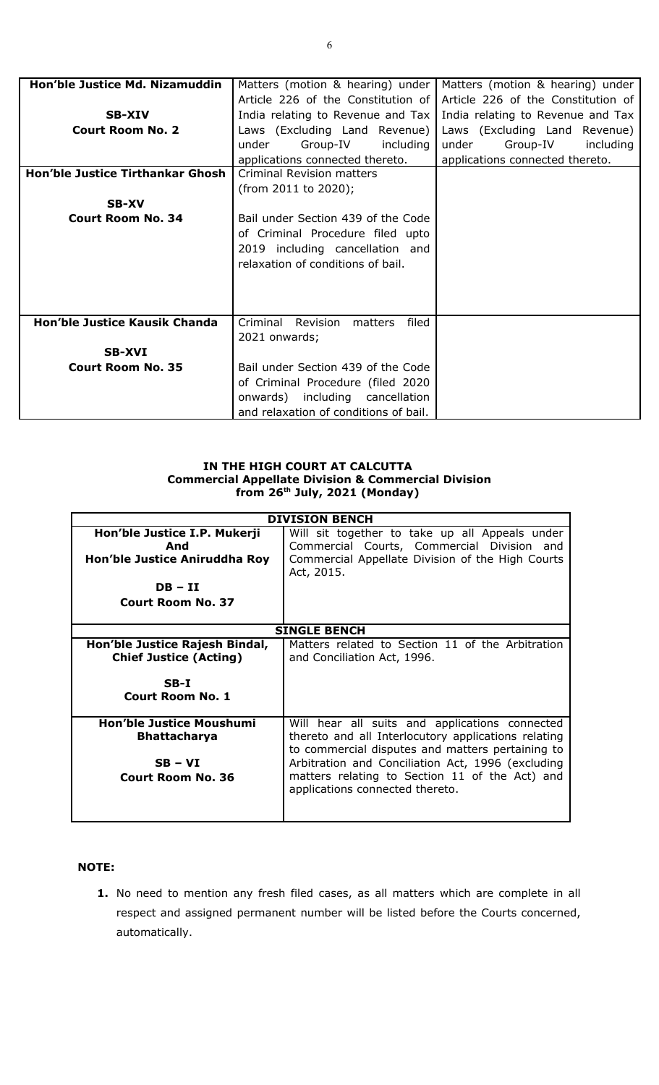| Hon'ble Justice Md. Nizamuddin          | Matters (motion & hearing) under         | Matters (motion & hearing) under   |
|-----------------------------------------|------------------------------------------|------------------------------------|
|                                         | Article 226 of the Constitution of       | Article 226 of the Constitution of |
| <b>SB-XIV</b>                           | India relating to Revenue and Tax        | India relating to Revenue and Tax  |
| <b>Court Room No. 2</b>                 | Laws (Excluding Land Revenue)            | Laws (Excluding Land Revenue)      |
|                                         | under<br>Group-IV<br>including           | under<br>Group-IV<br>including     |
|                                         | applications connected thereto.          | applications connected thereto.    |
| <b>Hon'ble Justice Tirthankar Ghosh</b> | <b>Criminal Revision matters</b>         |                                    |
|                                         | (from 2011 to 2020);                     |                                    |
| <b>SB-XV</b>                            |                                          |                                    |
| <b>Court Room No. 34</b>                | Bail under Section 439 of the Code       |                                    |
|                                         | of Criminal Procedure filed upto         |                                    |
|                                         | 2019 including cancellation and          |                                    |
|                                         | relaxation of conditions of bail.        |                                    |
|                                         |                                          |                                    |
|                                         |                                          |                                    |
|                                         |                                          |                                    |
| Hon'ble Justice Kausik Chanda           | Criminal<br>Revision<br>filed<br>matters |                                    |
|                                         | 2021 onwards;                            |                                    |
| <b>SB-XVI</b>                           |                                          |                                    |
| <b>Court Room No. 35</b>                | Bail under Section 439 of the Code       |                                    |
|                                         | of Criminal Procedure (filed 2020        |                                    |
|                                         | onwards) including cancellation          |                                    |
|                                         | and relaxation of conditions of bail.    |                                    |

### **IN THE HIGH COURT AT CALCUTTA Commercial Appellate Division & Commercial Division from 26th July, 2021 (Monday)**

|                                                                                                               | <b>DIVISION BENCH</b>                                                                                                                                                                                                                                                                               |
|---------------------------------------------------------------------------------------------------------------|-----------------------------------------------------------------------------------------------------------------------------------------------------------------------------------------------------------------------------------------------------------------------------------------------------|
| Hon'ble Justice I.P. Mukerji<br>And<br>Hon'ble Justice Aniruddha Roy<br>$DB - II$<br><b>Court Room No. 37</b> | Will sit together to take up all Appeals under<br>Commercial Courts, Commercial Division and<br>Commercial Appellate Division of the High Courts<br>Act, 2015.                                                                                                                                      |
| <b>SINGLE BENCH</b>                                                                                           |                                                                                                                                                                                                                                                                                                     |
| Hon'ble Justice Rajesh Bindal,<br><b>Chief Justice (Acting)</b>                                               | Matters related to Section 11 of the Arbitration<br>and Conciliation Act, 1996.                                                                                                                                                                                                                     |
| $SB-I$<br><b>Court Room No. 1</b>                                                                             |                                                                                                                                                                                                                                                                                                     |
| <b>Hon'ble Justice Moushumi</b><br><b>Bhattacharya</b><br>$SB - VI$<br><b>Court Room No. 36</b>               | Will hear all suits and applications connected<br>thereto and all Interlocutory applications relating<br>to commercial disputes and matters pertaining to<br>Arbitration and Conciliation Act, 1996 (excluding<br>matters relating to Section 11 of the Act) and<br>applications connected thereto. |
|                                                                                                               |                                                                                                                                                                                                                                                                                                     |

# **NOTE:**

**1.** No need to mention any fresh filed cases, as all matters which are complete in all respect and assigned permanent number will be listed before the Courts concerned, automatically.